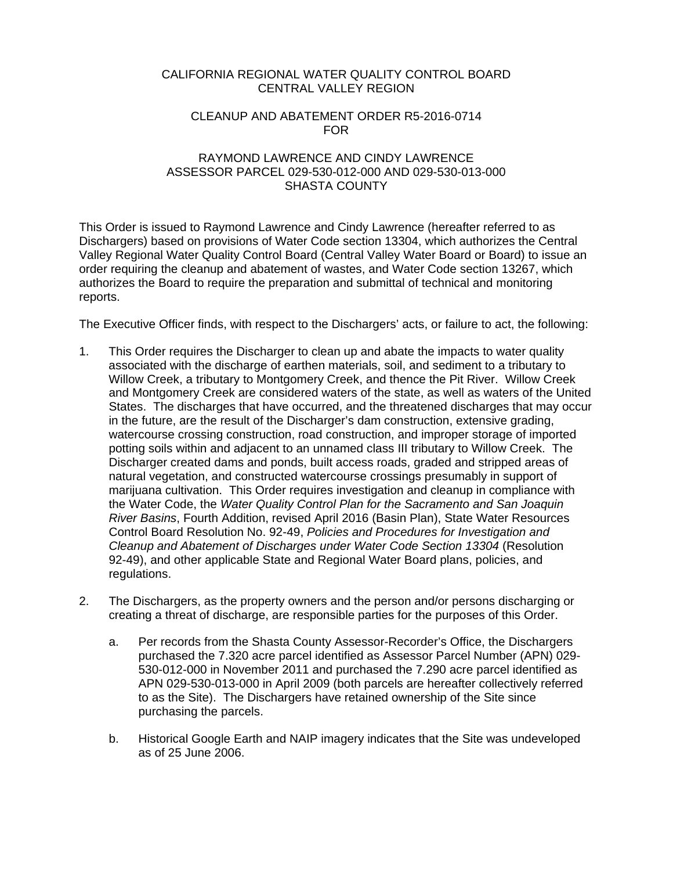### CALIFORNIA REGIONAL WATER QUALITY CONTROL BOARD CENTRAL VALLEY REGION

### CLEANUP AND ABATEMENT ORDER R5-2016-0714 FOR

### RAYMOND LAWRENCE AND CINDY LAWRENCE ASSESSOR PARCEL 029-530-012-000 AND 029-530-013-000 SHASTA COUNTY

This Order is issued to Raymond Lawrence and Cindy Lawrence (hereafter referred to as Dischargers) based on provisions of Water Code section 13304, which authorizes the Central Valley Regional Water Quality Control Board (Central Valley Water Board or Board) to issue an order requiring the cleanup and abatement of wastes, and Water Code section 13267, which authorizes the Board to require the preparation and submittal of technical and monitoring reports.

The Executive Officer finds, with respect to the Dischargers' acts, or failure to act, the following:

- 1. This Order requires the Discharger to clean up and abate the impacts to water quality associated with the discharge of earthen materials, soil, and sediment to a tributary to Willow Creek, a tributary to Montgomery Creek, and thence the Pit River. Willow Creek and Montgomery Creek are considered waters of the state, as well as waters of the United States. The discharges that have occurred, and the threatened discharges that may occur in the future, are the result of the Discharger's dam construction, extensive grading, watercourse crossing construction, road construction, and improper storage of imported potting soils within and adjacent to an unnamed class III tributary to Willow Creek. The Discharger created dams and ponds, built access roads, graded and stripped areas of natural vegetation, and constructed watercourse crossings presumably in support of marijuana cultivation. This Order requires investigation and cleanup in compliance with the Water Code, the *Water Quality Control Plan for the Sacramento and San Joaquin River Basins*, Fourth Addition, revised April 2016 (Basin Plan), State Water Resources Control Board Resolution No. 92-49, *Policies and Procedures for Investigation and Cleanup and Abatement of Discharges under Water Code Section 13304* (Resolution 92-49), and other applicable State and Regional Water Board plans, policies, and regulations.
- 2. The Dischargers, as the property owners and the person and/or persons discharging or creating a threat of discharge, are responsible parties for the purposes of this Order.
	- a. Per records from the Shasta County Assessor-Recorder's Office, the Dischargers purchased the 7.320 acre parcel identified as Assessor Parcel Number (APN) 029- 530-012-000 in November 2011 and purchased the 7.290 acre parcel identified as APN 029-530-013-000 in April 2009 (both parcels are hereafter collectively referred to as the Site). The Dischargers have retained ownership of the Site since purchasing the parcels.
	- b. Historical Google Earth and NAIP imagery indicates that the Site was undeveloped as of 25 June 2006.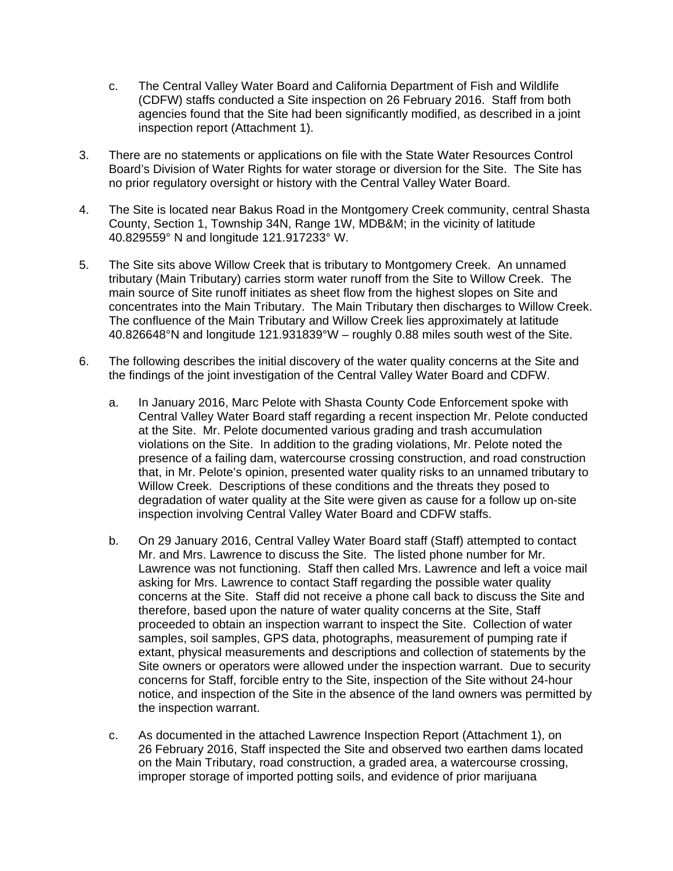- c. The Central Valley Water Board and California Department of Fish and Wildlife (CDFW) staffs conducted a Site inspection on 26 February 2016. Staff from both agencies found that the Site had been significantly modified, as described in a joint inspection report (Attachment 1).
- 3. There are no statements or applications on file with the State Water Resources Control Board's Division of Water Rights for water storage or diversion for the Site. The Site has no prior regulatory oversight or history with the Central Valley Water Board.
- 4. The Site is located near Bakus Road in the Montgomery Creek community, central Shasta County, Section 1, Township 34N, Range 1W, MDB&M; in the vicinity of latitude 40.829559° N and longitude 121.917233° W.
- 5. The Site sits above Willow Creek that is tributary to Montgomery Creek. An unnamed tributary (Main Tributary) carries storm water runoff from the Site to Willow Creek. The main source of Site runoff initiates as sheet flow from the highest slopes on Site and concentrates into the Main Tributary. The Main Tributary then discharges to Willow Creek. The confluence of the Main Tributary and Willow Creek lies approximately at latitude 40.826648°N and longitude 121.931839°W – roughly 0.88 miles south west of the Site.
- 6. The following describes the initial discovery of the water quality concerns at the Site and the findings of the joint investigation of the Central Valley Water Board and CDFW.
	- a. In January 2016, Marc Pelote with Shasta County Code Enforcement spoke with Central Valley Water Board staff regarding a recent inspection Mr. Pelote conducted at the Site. Mr. Pelote documented various grading and trash accumulation violations on the Site. In addition to the grading violations, Mr. Pelote noted the presence of a failing dam, watercourse crossing construction, and road construction that, in Mr. Pelote's opinion, presented water quality risks to an unnamed tributary to Willow Creek. Descriptions of these conditions and the threats they posed to degradation of water quality at the Site were given as cause for a follow up on-site inspection involving Central Valley Water Board and CDFW staffs.
	- b. On 29 January 2016, Central Valley Water Board staff (Staff) attempted to contact Mr. and Mrs. Lawrence to discuss the Site. The listed phone number for Mr. Lawrence was not functioning. Staff then called Mrs. Lawrence and left a voice mail asking for Mrs. Lawrence to contact Staff regarding the possible water quality concerns at the Site. Staff did not receive a phone call back to discuss the Site and therefore, based upon the nature of water quality concerns at the Site, Staff proceeded to obtain an inspection warrant to inspect the Site. Collection of water samples, soil samples, GPS data, photographs, measurement of pumping rate if extant, physical measurements and descriptions and collection of statements by the Site owners or operators were allowed under the inspection warrant. Due to security concerns for Staff, forcible entry to the Site, inspection of the Site without 24-hour notice, and inspection of the Site in the absence of the land owners was permitted by the inspection warrant.
	- c. As documented in the attached Lawrence Inspection Report (Attachment 1), on 26 February 2016, Staff inspected the Site and observed two earthen dams located on the Main Tributary, road construction, a graded area, a watercourse crossing, improper storage of imported potting soils, and evidence of prior marijuana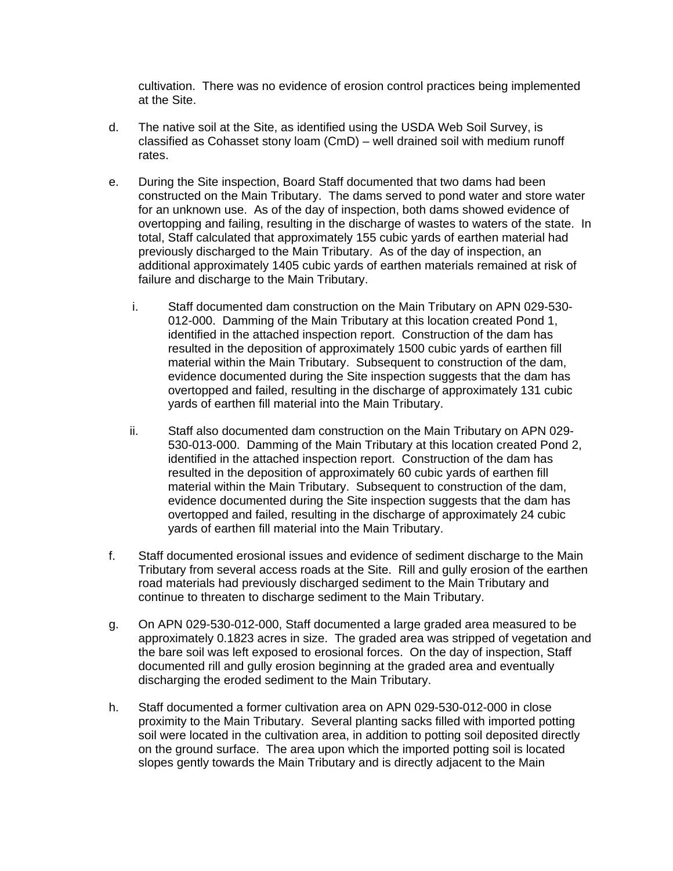cultivation. There was no evidence of erosion control practices being implemented at the Site.

- d. The native soil at the Site, as identified using the USDA Web Soil Survey, is classified as Cohasset stony loam (CmD) – well drained soil with medium runoff rates.
- e. During the Site inspection, Board Staff documented that two dams had been constructed on the Main Tributary. The dams served to pond water and store water for an unknown use. As of the day of inspection, both dams showed evidence of overtopping and failing, resulting in the discharge of wastes to waters of the state. In total, Staff calculated that approximately 155 cubic yards of earthen material had previously discharged to the Main Tributary. As of the day of inspection, an additional approximately 1405 cubic yards of earthen materials remained at risk of failure and discharge to the Main Tributary.
	- i. Staff documented dam construction on the Main Tributary on APN 029-530- 012-000. Damming of the Main Tributary at this location created Pond 1, identified in the attached inspection report. Construction of the dam has resulted in the deposition of approximately 1500 cubic yards of earthen fill material within the Main Tributary. Subsequent to construction of the dam, evidence documented during the Site inspection suggests that the dam has overtopped and failed, resulting in the discharge of approximately 131 cubic yards of earthen fill material into the Main Tributary.
	- ii. Staff also documented dam construction on the Main Tributary on APN 029- 530-013-000. Damming of the Main Tributary at this location created Pond 2, identified in the attached inspection report. Construction of the dam has resulted in the deposition of approximately 60 cubic yards of earthen fill material within the Main Tributary. Subsequent to construction of the dam, evidence documented during the Site inspection suggests that the dam has overtopped and failed, resulting in the discharge of approximately 24 cubic yards of earthen fill material into the Main Tributary.
- f. Staff documented erosional issues and evidence of sediment discharge to the Main Tributary from several access roads at the Site. Rill and gully erosion of the earthen road materials had previously discharged sediment to the Main Tributary and continue to threaten to discharge sediment to the Main Tributary.
- g. On APN 029-530-012-000, Staff documented a large graded area measured to be approximately 0.1823 acres in size. The graded area was stripped of vegetation and the bare soil was left exposed to erosional forces. On the day of inspection, Staff documented rill and gully erosion beginning at the graded area and eventually discharging the eroded sediment to the Main Tributary.
- h. Staff documented a former cultivation area on APN 029-530-012-000 in close proximity to the Main Tributary. Several planting sacks filled with imported potting soil were located in the cultivation area, in addition to potting soil deposited directly on the ground surface. The area upon which the imported potting soil is located slopes gently towards the Main Tributary and is directly adjacent to the Main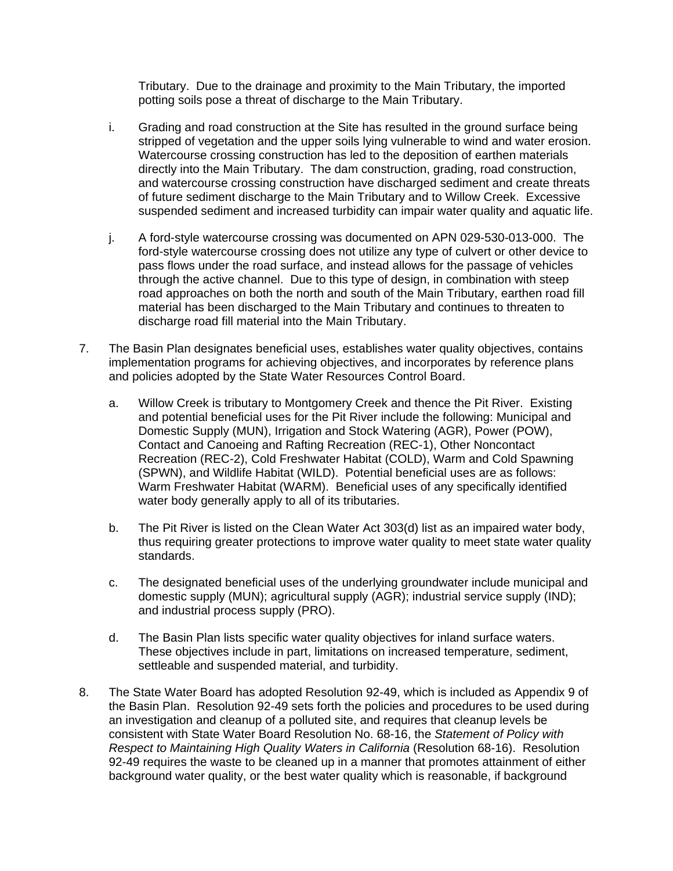Tributary. Due to the drainage and proximity to the Main Tributary, the imported potting soils pose a threat of discharge to the Main Tributary.

- i. Grading and road construction at the Site has resulted in the ground surface being stripped of vegetation and the upper soils lying vulnerable to wind and water erosion. Watercourse crossing construction has led to the deposition of earthen materials directly into the Main Tributary. The dam construction, grading, road construction, and watercourse crossing construction have discharged sediment and create threats of future sediment discharge to the Main Tributary and to Willow Creek. Excessive suspended sediment and increased turbidity can impair water quality and aquatic life.
- j. A ford-style watercourse crossing was documented on APN 029-530-013-000. The ford-style watercourse crossing does not utilize any type of culvert or other device to pass flows under the road surface, and instead allows for the passage of vehicles through the active channel. Due to this type of design, in combination with steep road approaches on both the north and south of the Main Tributary, earthen road fill material has been discharged to the Main Tributary and continues to threaten to discharge road fill material into the Main Tributary.
- 7. The Basin Plan designates beneficial uses, establishes water quality objectives, contains implementation programs for achieving objectives, and incorporates by reference plans and policies adopted by the State Water Resources Control Board.
	- a. Willow Creek is tributary to Montgomery Creek and thence the Pit River. Existing and potential beneficial uses for the Pit River include the following: Municipal and Domestic Supply (MUN), Irrigation and Stock Watering (AGR), Power (POW), Contact and Canoeing and Rafting Recreation (REC-1), Other Noncontact Recreation (REC-2), Cold Freshwater Habitat (COLD), Warm and Cold Spawning (SPWN), and Wildlife Habitat (WILD). Potential beneficial uses are as follows: Warm Freshwater Habitat (WARM). Beneficial uses of any specifically identified water body generally apply to all of its tributaries.
	- b. The Pit River is listed on the Clean Water Act 303(d) list as an impaired water body, thus requiring greater protections to improve water quality to meet state water quality standards.
	- c. The designated beneficial uses of the underlying groundwater include municipal and domestic supply (MUN); agricultural supply (AGR); industrial service supply (IND); and industrial process supply (PRO).
	- d. The Basin Plan lists specific water quality objectives for inland surface waters. These objectives include in part, limitations on increased temperature, sediment, settleable and suspended material, and turbidity.
- 8. The State Water Board has adopted Resolution 92-49, which is included as Appendix 9 of the Basin Plan. Resolution 92-49 sets forth the policies and procedures to be used during an investigation and cleanup of a polluted site, and requires that cleanup levels be consistent with State Water Board Resolution No. 68-16, the *Statement of Policy with Respect to Maintaining High Quality Waters in California* (Resolution 68-16). Resolution 92-49 requires the waste to be cleaned up in a manner that promotes attainment of either background water quality, or the best water quality which is reasonable, if background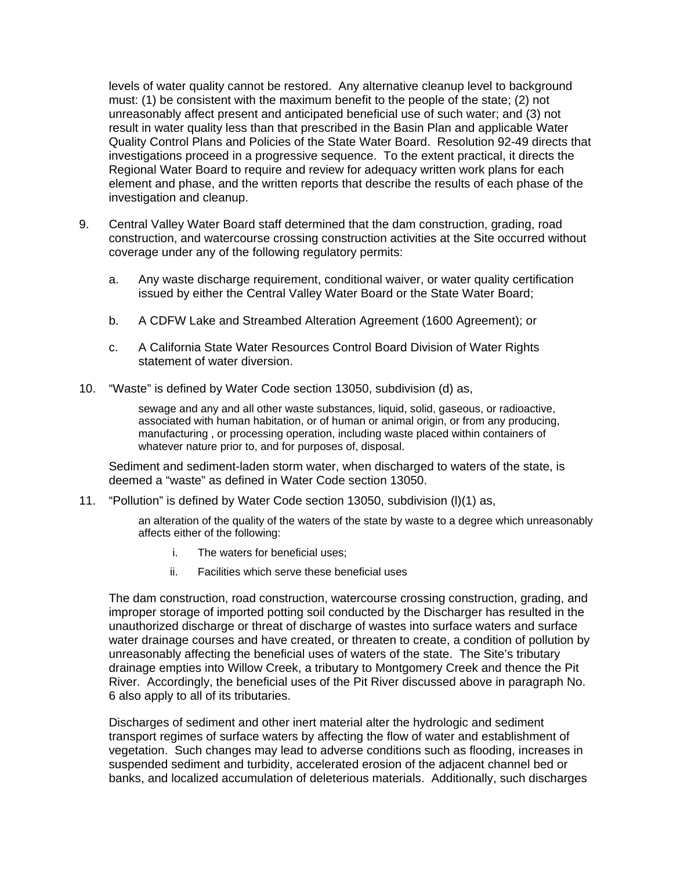levels of water quality cannot be restored. Any alternative cleanup level to background must: (1) be consistent with the maximum benefit to the people of the state; (2) not unreasonably affect present and anticipated beneficial use of such water; and (3) not result in water quality less than that prescribed in the Basin Plan and applicable Water Quality Control Plans and Policies of the State Water Board. Resolution 92-49 directs that investigations proceed in a progressive sequence. To the extent practical, it directs the Regional Water Board to require and review for adequacy written work plans for each element and phase, and the written reports that describe the results of each phase of the investigation and cleanup.

- 9. Central Valley Water Board staff determined that the dam construction, grading, road construction, and watercourse crossing construction activities at the Site occurred without coverage under any of the following regulatory permits:
	- a. Any waste discharge requirement, conditional waiver, or water quality certification issued by either the Central Valley Water Board or the State Water Board;
	- b. A CDFW Lake and Streambed Alteration Agreement (1600 Agreement); or
	- c. A California State Water Resources Control Board Division of Water Rights statement of water diversion.
- 10. "Waste" is defined by Water Code section 13050, subdivision (d) as,

sewage and any and all other waste substances, liquid, solid, gaseous, or radioactive, associated with human habitation, or of human or animal origin, or from any producing, manufacturing , or processing operation, including waste placed within containers of whatever nature prior to, and for purposes of, disposal.

Sediment and sediment-laden storm water, when discharged to waters of the state, is deemed a "waste" as defined in Water Code section 13050.

11. "Pollution" is defined by Water Code section 13050, subdivision (l)(1) as,

an alteration of the quality of the waters of the state by waste to a degree which unreasonably affects either of the following:

- i. The waters for beneficial uses;
- ii. Facilities which serve these beneficial uses

The dam construction, road construction, watercourse crossing construction, grading, and improper storage of imported potting soil conducted by the Discharger has resulted in the unauthorized discharge or threat of discharge of wastes into surface waters and surface water drainage courses and have created, or threaten to create, a condition of pollution by unreasonably affecting the beneficial uses of waters of the state. The Site's tributary drainage empties into Willow Creek, a tributary to Montgomery Creek and thence the Pit River. Accordingly, the beneficial uses of the Pit River discussed above in paragraph No. 6 also apply to all of its tributaries.

Discharges of sediment and other inert material alter the hydrologic and sediment transport regimes of surface waters by affecting the flow of water and establishment of vegetation. Such changes may lead to adverse conditions such as flooding, increases in suspended sediment and turbidity, accelerated erosion of the adjacent channel bed or banks, and localized accumulation of deleterious materials. Additionally, such discharges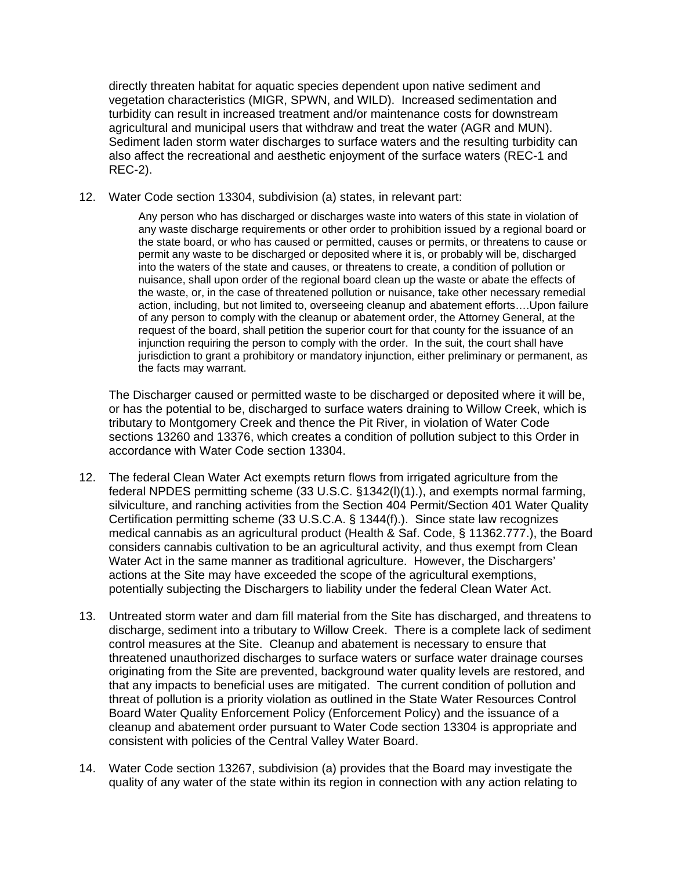directly threaten habitat for aquatic species dependent upon native sediment and vegetation characteristics (MIGR, SPWN, and WILD). Increased sedimentation and turbidity can result in increased treatment and/or maintenance costs for downstream agricultural and municipal users that withdraw and treat the water (AGR and MUN). Sediment laden storm water discharges to surface waters and the resulting turbidity can also affect the recreational and aesthetic enjoyment of the surface waters (REC-1 and REC-2).

12. Water Code section 13304, subdivision (a) states, in relevant part:

Any person who has discharged or discharges waste into waters of this state in violation of any waste discharge requirements or other order to prohibition issued by a regional board or the state board, or who has caused or permitted, causes or permits, or threatens to cause or permit any waste to be discharged or deposited where it is, or probably will be, discharged into the waters of the state and causes, or threatens to create, a condition of pollution or nuisance, shall upon order of the regional board clean up the waste or abate the effects of the waste, or, in the case of threatened pollution or nuisance, take other necessary remedial action, including, but not limited to, overseeing cleanup and abatement efforts….Upon failure of any person to comply with the cleanup or abatement order, the Attorney General, at the request of the board, shall petition the superior court for that county for the issuance of an injunction requiring the person to comply with the order. In the suit, the court shall have jurisdiction to grant a prohibitory or mandatory injunction, either preliminary or permanent, as the facts may warrant.

The Discharger caused or permitted waste to be discharged or deposited where it will be, or has the potential to be, discharged to surface waters draining to Willow Creek, which is tributary to Montgomery Creek and thence the Pit River, in violation of Water Code sections 13260 and 13376, which creates a condition of pollution subject to this Order in accordance with Water Code section 13304.

- 12. The federal Clean Water Act exempts return flows from irrigated agriculture from the federal NPDES permitting scheme (33 U.S.C. §1342(l)(1).), and exempts normal farming, silviculture, and ranching activities from the Section 404 Permit/Section 401 Water Quality Certification permitting scheme (33 U.S.C.A. § 1344(f).). Since state law recognizes medical cannabis as an agricultural product (Health & Saf. Code, § 11362.777.), the Board considers cannabis cultivation to be an agricultural activity, and thus exempt from Clean Water Act in the same manner as traditional agriculture. However, the Dischargers' actions at the Site may have exceeded the scope of the agricultural exemptions, potentially subjecting the Dischargers to liability under the federal Clean Water Act.
- 13. Untreated storm water and dam fill material from the Site has discharged, and threatens to discharge, sediment into a tributary to Willow Creek. There is a complete lack of sediment control measures at the Site. Cleanup and abatement is necessary to ensure that threatened unauthorized discharges to surface waters or surface water drainage courses originating from the Site are prevented, background water quality levels are restored, and that any impacts to beneficial uses are mitigated. The current condition of pollution and threat of pollution is a priority violation as outlined in the State Water Resources Control Board Water Quality Enforcement Policy (Enforcement Policy) and the issuance of a cleanup and abatement order pursuant to Water Code section 13304 is appropriate and consistent with policies of the Central Valley Water Board.
- 14. Water Code section 13267, subdivision (a) provides that the Board may investigate the quality of any water of the state within its region in connection with any action relating to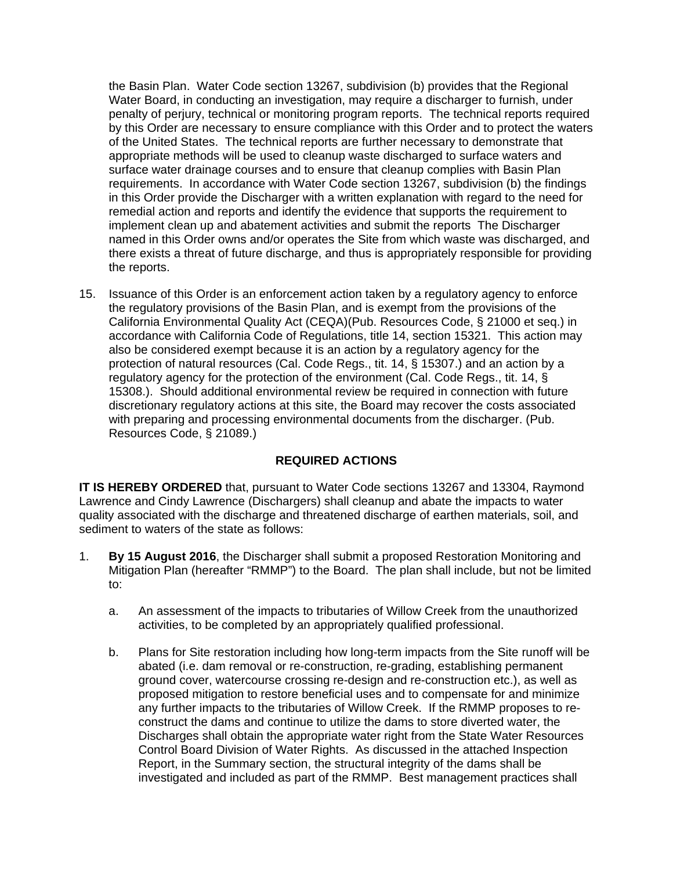the Basin Plan. Water Code section 13267, subdivision (b) provides that the Regional Water Board, in conducting an investigation, may require a discharger to furnish, under penalty of perjury, technical or monitoring program reports. The technical reports required by this Order are necessary to ensure compliance with this Order and to protect the waters of the United States. The technical reports are further necessary to demonstrate that appropriate methods will be used to cleanup waste discharged to surface waters and surface water drainage courses and to ensure that cleanup complies with Basin Plan requirements. In accordance with Water Code section 13267, subdivision (b) the findings in this Order provide the Discharger with a written explanation with regard to the need for remedial action and reports and identify the evidence that supports the requirement to implement clean up and abatement activities and submit the reports The Discharger named in this Order owns and/or operates the Site from which waste was discharged, and there exists a threat of future discharge, and thus is appropriately responsible for providing the reports.

15. Issuance of this Order is an enforcement action taken by a regulatory agency to enforce the regulatory provisions of the Basin Plan, and is exempt from the provisions of the California Environmental Quality Act (CEQA)(Pub. Resources Code, § 21000 et seq.) in accordance with California Code of Regulations, title 14, section 15321. This action may also be considered exempt because it is an action by a regulatory agency for the protection of natural resources (Cal. Code Regs., tit. 14, § 15307.) and an action by a regulatory agency for the protection of the environment (Cal. Code Regs., tit. 14, § 15308.). Should additional environmental review be required in connection with future discretionary regulatory actions at this site, the Board may recover the costs associated with preparing and processing environmental documents from the discharger. (Pub. Resources Code, § 21089.)

# **REQUIRED ACTIONS**

**IT IS HEREBY ORDERED** that, pursuant to Water Code sections 13267 and 13304, Raymond Lawrence and Cindy Lawrence (Dischargers) shall cleanup and abate the impacts to water quality associated with the discharge and threatened discharge of earthen materials, soil, and sediment to waters of the state as follows:

- 1. **By 15 August 2016**, the Discharger shall submit a proposed Restoration Monitoring and Mitigation Plan (hereafter "RMMP") to the Board. The plan shall include, but not be limited to:
	- a. An assessment of the impacts to tributaries of Willow Creek from the unauthorized activities, to be completed by an appropriately qualified professional.
	- b. Plans for Site restoration including how long-term impacts from the Site runoff will be abated (i.e. dam removal or re-construction, re-grading, establishing permanent ground cover, watercourse crossing re-design and re-construction etc.), as well as proposed mitigation to restore beneficial uses and to compensate for and minimize any further impacts to the tributaries of Willow Creek. If the RMMP proposes to reconstruct the dams and continue to utilize the dams to store diverted water, the Discharges shall obtain the appropriate water right from the State Water Resources Control Board Division of Water Rights. As discussed in the attached Inspection Report, in the Summary section, the structural integrity of the dams shall be investigated and included as part of the RMMP. Best management practices shall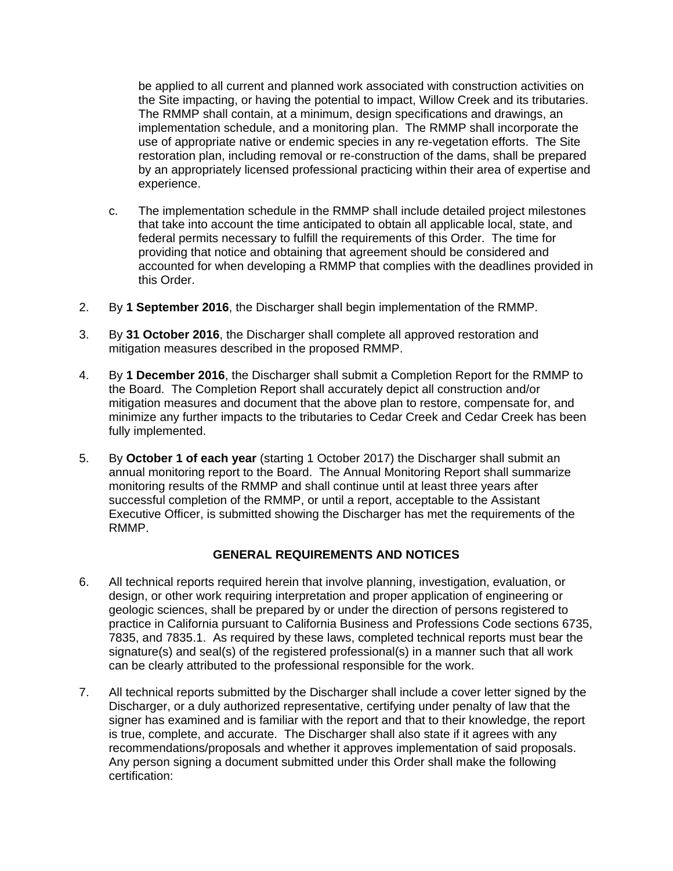be applied to all current and planned work associated with construction activities on the Site impacting, or having the potential to impact, Willow Creek and its tributaries. The RMMP shall contain, at a minimum, design specifications and drawings, an implementation schedule, and a monitoring plan. The RMMP shall incorporate the use of appropriate native or endemic species in any re-vegetation efforts. The Site restoration plan, including removal or re-construction of the dams, shall be prepared by an appropriately licensed professional practicing within their area of expertise and experience.

- c. The implementation schedule in the RMMP shall include detailed project milestones that take into account the time anticipated to obtain all applicable local, state, and federal permits necessary to fulfill the requirements of this Order. The time for providing that notice and obtaining that agreement should be considered and accounted for when developing a RMMP that complies with the deadlines provided in this Order.
- 2. By **1 September 2016**, the Discharger shall begin implementation of the RMMP.
- 3. By **31 October 2016**, the Discharger shall complete all approved restoration and mitigation measures described in the proposed RMMP.
- 4. By **1 December 2016**, the Discharger shall submit a Completion Report for the RMMP to the Board. The Completion Report shall accurately depict all construction and/or mitigation measures and document that the above plan to restore, compensate for, and minimize any further impacts to the tributaries to Cedar Creek and Cedar Creek has been fully implemented.
- 5. By **October 1 of each year** (starting 1 October 2017) the Discharger shall submit an annual monitoring report to the Board. The Annual Monitoring Report shall summarize monitoring results of the RMMP and shall continue until at least three years after successful completion of the RMMP, or until a report, acceptable to the Assistant Executive Officer, is submitted showing the Discharger has met the requirements of the RMMP.

# **GENERAL REQUIREMENTS AND NOTICES**

- 6. All technical reports required herein that involve planning, investigation, evaluation, or design, or other work requiring interpretation and proper application of engineering or geologic sciences, shall be prepared by or under the direction of persons registered to practice in California pursuant to California Business and Professions Code sections 6735, 7835, and 7835.1. As required by these laws, completed technical reports must bear the signature(s) and seal(s) of the registered professional(s) in a manner such that all work can be clearly attributed to the professional responsible for the work.
- 7. All technical reports submitted by the Discharger shall include a cover letter signed by the Discharger, or a duly authorized representative, certifying under penalty of law that the signer has examined and is familiar with the report and that to their knowledge, the report is true, complete, and accurate. The Discharger shall also state if it agrees with any recommendations/proposals and whether it approves implementation of said proposals. Any person signing a document submitted under this Order shall make the following certification: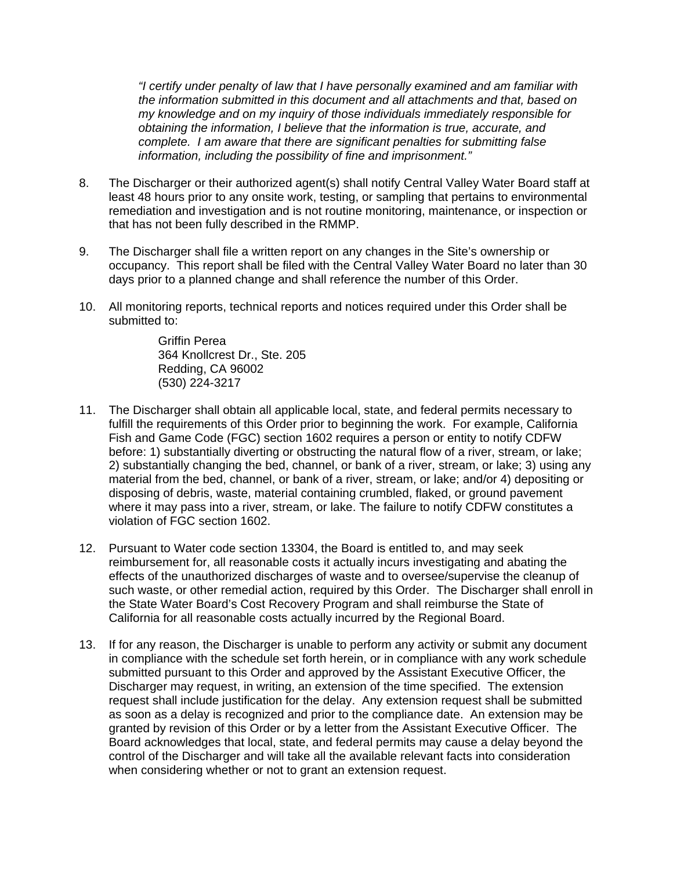*"I certify under penalty of law that I have personally examined and am familiar with the information submitted in this document and all attachments and that, based on my knowledge and on my inquiry of those individuals immediately responsible for obtaining the information, I believe that the information is true, accurate, and complete. I am aware that there are significant penalties for submitting false information, including the possibility of fine and imprisonment."*

- 8. The Discharger or their authorized agent(s) shall notify Central Valley Water Board staff at least 48 hours prior to any onsite work, testing, or sampling that pertains to environmental remediation and investigation and is not routine monitoring, maintenance, or inspection or that has not been fully described in the RMMP.
- 9. The Discharger shall file a written report on any changes in the Site's ownership or occupancy. This report shall be filed with the Central Valley Water Board no later than 30 days prior to a planned change and shall reference the number of this Order.
- 10. All monitoring reports, technical reports and notices required under this Order shall be submitted to:

Griffin Perea 364 Knollcrest Dr., Ste. 205 Redding, CA 96002 (530) 224-3217

- 11. The Discharger shall obtain all applicable local, state, and federal permits necessary to fulfill the requirements of this Order prior to beginning the work. For example, California Fish and Game Code (FGC) section 1602 requires a person or entity to notify CDFW before: 1) substantially diverting or obstructing the natural flow of a river, stream, or lake; 2) substantially changing the bed, channel, or bank of a river, stream, or lake; 3) using any material from the bed, channel, or bank of a river, stream, or lake; and/or 4) depositing or disposing of debris, waste, material containing crumbled, flaked, or ground pavement where it may pass into a river, stream, or lake. The failure to notify CDFW constitutes a violation of FGC section 1602.
- 12. Pursuant to Water code section 13304, the Board is entitled to, and may seek reimbursement for, all reasonable costs it actually incurs investigating and abating the effects of the unauthorized discharges of waste and to oversee/supervise the cleanup of such waste, or other remedial action, required by this Order. The Discharger shall enroll in the State Water Board's Cost Recovery Program and shall reimburse the State of California for all reasonable costs actually incurred by the Regional Board.
- 13. If for any reason, the Discharger is unable to perform any activity or submit any document in compliance with the schedule set forth herein, or in compliance with any work schedule submitted pursuant to this Order and approved by the Assistant Executive Officer, the Discharger may request, in writing, an extension of the time specified. The extension request shall include justification for the delay. Any extension request shall be submitted as soon as a delay is recognized and prior to the compliance date. An extension may be granted by revision of this Order or by a letter from the Assistant Executive Officer. The Board acknowledges that local, state, and federal permits may cause a delay beyond the control of the Discharger and will take all the available relevant facts into consideration when considering whether or not to grant an extension request.